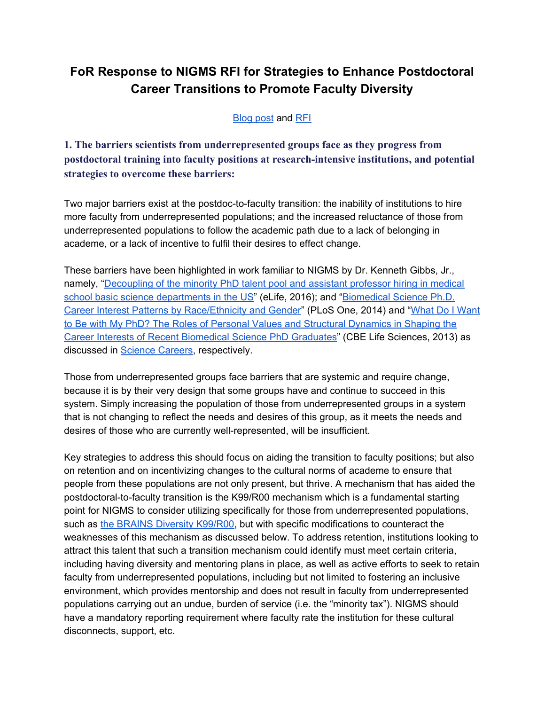## **FoR Response to NIGMS RFI for Strategies to Enhance Postdoctoral Career Transitions to Promote Faculty Diversity**

**[Blog](https://loop.nigms.nih.gov/2018/05/give-input-on-strategies-to-enhance-postdoctoral-career-transitions-to-promote-faculty-diversity/) post and [RFI](https://grants.nih.gov/grants/guide/notice-files/NOT-GM-18-034.html)** 

**1. The barriers scientists from underrepresented groups face as they progress from postdoctoral training into faculty positions at research-intensive institutions, and potential strategies to overcome these barriers:**

Two major barriers exist at the postdoc-to-faculty transition: the inability of institutions to hire more faculty from underrepresented populations; and the increased reluctance of those from underrepresented populations to follow the academic path due to a lack of belonging in academe, or a lack of incentive to fulfil their desires to effect change.

These barriers have been highlighted in work familiar to NIGMS by Dr. Kenneth Gibbs, Jr., namely, ["Decoupling](https://elifesciences.org/articles/21393) of the minority PhD talent pool and assistant professor hiring in medical school basic science [departments](https://elifesciences.org/articles/21393) in the US" (eLife, 2016); and "[Biomedical](http://journals.plos.org/plosone/article?id=10.1371/journal.pone.0114736) Science Ph.D. Career Interest Patterns by [Race/Ethnicity](http://journals.plos.org/plosone/article?id=10.1371/journal.pone.0114736) and Gender" (PLoS One, 2014) and "What Do I [Want](https://www.lifescied.org/doi/pdf/10.1187/cbe.13-02-0021) to Be with My PhD? The Roles of Personal Values and Structural [Dynamics](https://www.lifescied.org/doi/pdf/10.1187/cbe.13-02-0021) in Shaping the Career Interests of Recent [Biomedical](https://www.lifescied.org/doi/pdf/10.1187/cbe.13-02-0021) Science PhD Graduates" (CBE Life Sciences, 2013) as discussed in Science [Careers,](http://www.sciencemag.org/careers/2015/03/what-s-purpose-scientific-career) respectively.

Those from underrepresented groups face barriers that are systemic and require change, because it is by their very design that some groups have and continue to succeed in this system. Simply increasing the population of those from underrepresented groups in a system that is not changing to reflect the needs and desires of this group, as it meets the needs and desires of those who are currently well-represented, will be insufficient.

Key strategies to address this should focus on aiding the transition to faculty positions; but also on retention and on incentivizing changes to the cultural norms of academe to ensure that people from these populations are not only present, but thrive. A mechanism that has aided the postdoctoral-to-faculty transition is the K99/R00 mechanism which is a fundamental starting point for NIGMS to consider utilizing specifically for those from underrepresented populations, such as the BRAINS Diversity [K99/R00](https://grants.nih.gov/grants/guide/pa-files/PAR-18-813.html), but with specific modifications to counteract the weaknesses of this mechanism as discussed below. To address retention, institutions looking to attract this talent that such a transition mechanism could identify must meet certain criteria, including having diversity and mentoring plans in place, as well as active efforts to seek to retain faculty from underrepresented populations, including but not limited to fostering an inclusive environment, which provides mentorship and does not result in faculty from underrepresented populations carrying out an undue, burden of service (i.e. the "minority tax"). NIGMS should have a mandatory reporting requirement where faculty rate the institution for these cultural disconnects, support, etc.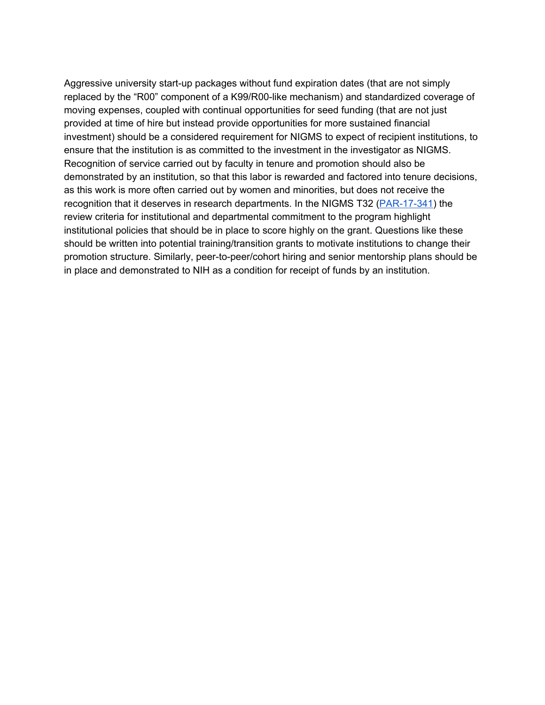Aggressive university start-up packages without fund expiration dates (that are not simply replaced by the "R00" component of a K99/R00-like mechanism) and standardized coverage of moving expenses, coupled with continual opportunities for seed funding (that are not just provided at time of hire but instead provide opportunities for more sustained financial investment) should be a considered requirement for NIGMS to expect of recipient institutions, to ensure that the institution is as committed to the investment in the investigator as NIGMS. Recognition of service carried out by faculty in tenure and promotion should also be demonstrated by an institution, so that this labor is rewarded and factored into tenure decisions, as this work is more often carried out by women and minorities, but does not receive the recognition that it deserves in research departments. In the NIGMS T32 [\(PAR-17-341\)](https://grants.nih.gov/grants/guide/pa-files/par-17-341.html) the review criteria for institutional and departmental commitment to the program highlight institutional policies that should be in place to score highly on the grant. Questions like these should be written into potential training/transition grants to motivate institutions to change their promotion structure. Similarly, peer-to-peer/cohort hiring and senior mentorship plans should be in place and demonstrated to NIH as a condition for receipt of funds by an institution.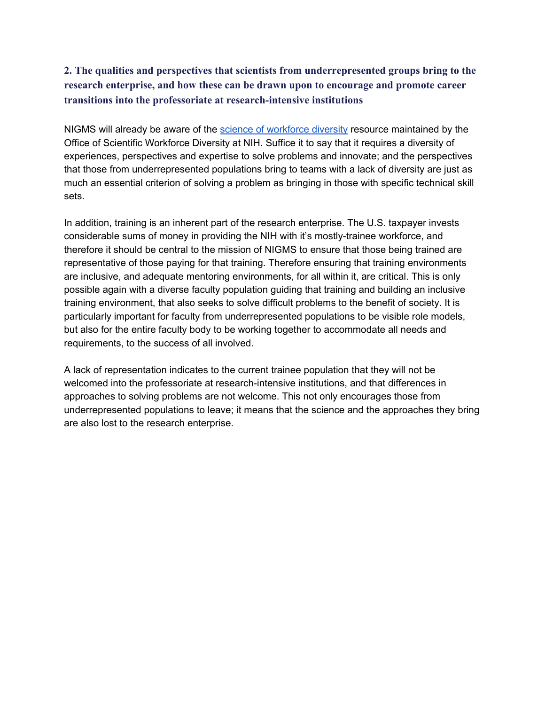## **2. The qualities and perspectives that scientists from underrepresented groups bring to the research enterprise, and how these can be drawn upon to encourage and promote career transitions into the professoriate at research-intensive institutions**

NIGMS will already be aware of the science of [workforce](https://diversity.nih.gov/science-diversity) diversity resource maintained by the Office of Scientific Workforce Diversity at NIH. Suffice it to say that it requires a diversity of experiences, perspectives and expertise to solve problems and innovate; and the perspectives that those from underrepresented populations bring to teams with a lack of diversity are just as much an essential criterion of solving a problem as bringing in those with specific technical skill sets.

In addition, training is an inherent part of the research enterprise. The U.S. taxpayer invests considerable sums of money in providing the NIH with it's mostly-trainee workforce, and therefore it should be central to the mission of NIGMS to ensure that those being trained are representative of those paying for that training. Therefore ensuring that training environments are inclusive, and adequate mentoring environments, for all within it, are critical. This is only possible again with a diverse faculty population guiding that training and building an inclusive training environment, that also seeks to solve difficult problems to the benefit of society. It is particularly important for faculty from underrepresented populations to be visible role models, but also for the entire faculty body to be working together to accommodate all needs and requirements, to the success of all involved.

A lack of representation indicates to the current trainee population that they will not be welcomed into the professoriate at research-intensive institutions, and that differences in approaches to solving problems are not welcome. This not only encourages those from underrepresented populations to leave; it means that the science and the approaches they bring are also lost to the research enterprise.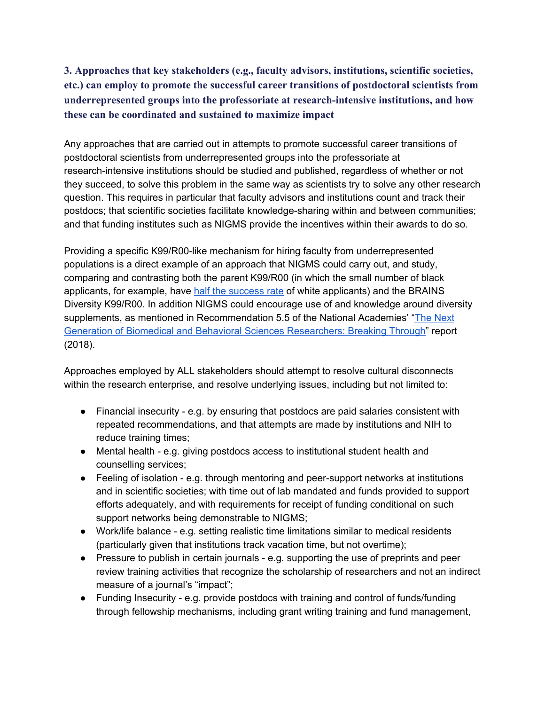**3. Approaches that key stakeholders (e.g., faculty advisors, institutions, scientific societies, etc.) can employ to promote the successful career transitions of postdoctoral scientists from underrepresented groups into the professoriate at research-intensive institutions, and how these can be coordinated and sustained to maximize impact**

Any approaches that are carried out in attempts to promote successful career transitions of postdoctoral scientists from underrepresented groups into the professoriate at research-intensive institutions should be studied and published, regardless of whether or not they succeed, to solve this problem in the same way as scientists try to solve any other research question. This requires in particular that faculty advisors and institutions count and track their postdocs; that scientific societies facilitate knowledge-sharing within and between communities; and that funding institutes such as NIGMS provide the incentives within their awards to do so.

Providing a specific K99/R00-like mechanism for hiring faculty from underrepresented populations is a direct example of an approach that NIGMS could carry out, and study, comparing and contrasting both the parent K99/R00 (in which the small number of black applicants, for example, have half the [success](http://rescuingbiomedicalresearch.org/blog/examining-distribution-k99r00-awards-race/) rate of white applicants) and the BRAINS Diversity K99/R00. In addition NIGMS could encourage use of and knowledge around diversity supplements, as mentioned in Recommendation 5.5 of the National Academies' "The [Next](https://www.nap.edu/catalog/25008/the-next-generation-of-biomedical-and-behavioral-sciences-researchers-breaking) Generation of Biomedical and Behavioral Sciences [Researchers:](https://www.nap.edu/catalog/25008/the-next-generation-of-biomedical-and-behavioral-sciences-researchers-breaking) Breaking Through" report (2018).

Approaches employed by ALL stakeholders should attempt to resolve cultural disconnects within the research enterprise, and resolve underlying issues, including but not limited to:

- Financial insecurity e.g. by ensuring that postdocs are paid salaries consistent with repeated recommendations, and that attempts are made by institutions and NIH to reduce training times;
- Mental health e.g. giving postdocs access to institutional student health and counselling services;
- Feeling of isolation e.g. through mentoring and peer-support networks at institutions and in scientific societies; with time out of lab mandated and funds provided to support efforts adequately, and with requirements for receipt of funding conditional on such support networks being demonstrable to NIGMS;
- Work/life balance e.g. setting realistic time limitations similar to medical residents (particularly given that institutions track vacation time, but not overtime);
- Pressure to publish in certain journals e.g. supporting the use of preprints and peer review training activities that recognize the scholarship of researchers and not an indirect measure of a journal's "impact";
- Funding Insecurity e.g. provide postdocs with training and control of funds/funding through fellowship mechanisms, including grant writing training and fund management,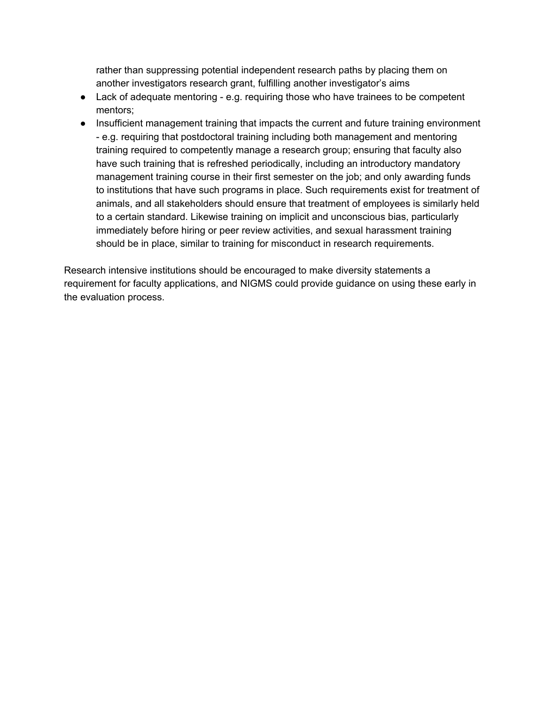rather than suppressing potential independent research paths by placing them on another investigators research grant, fulfilling another investigator's aims

- Lack of adequate mentoring e.g. requiring those who have trainees to be competent mentors;
- Insufficient management training that impacts the current and future training environment - e.g. requiring that postdoctoral training including both management and mentoring training required to competently manage a research group; ensuring that faculty also have such training that is refreshed periodically, including an introductory mandatory management training course in their first semester on the job; and only awarding funds to institutions that have such programs in place. Such requirements exist for treatment of animals, and all stakeholders should ensure that treatment of employees is similarly held to a certain standard. Likewise training on implicit and unconscious bias, particularly immediately before hiring or peer review activities, and sexual harassment training should be in place, similar to training for misconduct in research requirements.

Research intensive institutions should be encouraged to make diversity statements a requirement for faculty applications, and NIGMS could provide guidance on using these early in the evaluation process.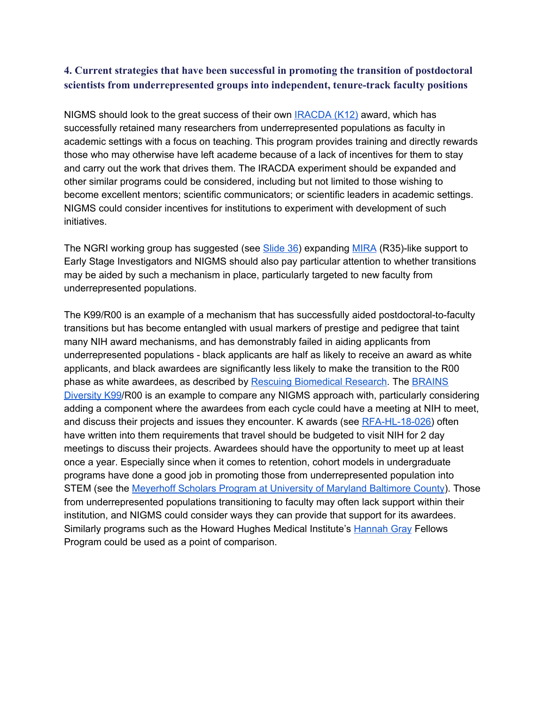## **4. Current strategies that have been successful in promoting the transition of postdoctoral scientists from underrepresented groups into independent, tenure-track faculty positions**

NIGMS should look to the great success of their own [IRACDA](https://www.nigms.nih.gov/Training/CareerDev/Pages/TWDInstRes.aspx) (K12) award, which has successfully retained many researchers from underrepresented populations as faculty in academic settings with a focus on teaching. This program provides training and directly rewards those who may otherwise have left academe because of a lack of incentives for them to stay and carry out the work that drives them. The IRACDA experiment should be expanded and other similar programs could be considered, including but not limited to those wishing to become excellent mentors; scientific communicators; or scientific leaders in academic settings. NIGMS could consider incentives for institutions to experiment with development of such initiatives.

The NGRI working group has suggested (see [Slide](https://acd.od.nih.gov/documents/presentations/06142018Florez.pdf) 36) expanding [MIRA](https://grants.nih.gov/grants/guide/pa-files/PAR-17-094.html) (R35)-like support to Early Stage Investigators and NIGMS should also pay particular attention to whether transitions may be aided by such a mechanism in place, particularly targeted to new faculty from underrepresented populations.

The K99/R00 is an example of a mechanism that has successfully aided postdoctoral-to-faculty transitions but has become entangled with usual markers of prestige and pedigree that taint many NIH award mechanisms, and has demonstrably failed in aiding applicants from underrepresented populations - black applicants are half as likely to receive an award as white applicants, and black awardees are significantly less likely to make the transition to the R00 phase as white awardees, as described by Rescuing [Biomedical](http://rescuingbiomedicalresearch.org/blog/examining-distribution-k99r00-awards-race/) Research. The [BRAINS](https://grants.nih.gov/grants/guide/pa-files/PAR-18-813.html) [Diversity](https://grants.nih.gov/grants/guide/pa-files/PAR-18-813.html) K99/R00 is an example to compare any NIGMS approach with, particularly considering adding a component where the awardees from each cycle could have a meeting at NIH to meet, and discuss their projects and issues they encounter. K awards (see [RFA-HL-18-026](https://grants.nih.gov/grants/guide/rfa-files/RFA-hl-18-026.html)) often have written into them requirements that travel should be budgeted to visit NIH for 2 day meetings to discuss their projects. Awardees should have the opportunity to meet up at least once a year. Especially since when it comes to retention, cohort models in undergraduate programs have done a good job in promoting those from underrepresented population into STEM (see the [Meyerhoff](https://meyerhoff.umbc.edu/) Scholars Program at University of Maryland Baltimore County). Those from underrepresented populations transitioning to faculty may often lack support within their institution, and NIGMS could consider ways they can provide that support for its awardees. Similarly programs such as the Howard Hughes Medical Institute's [Hannah](https://www.hhmi.org/programs/hanna-h-gray-fellows-program) Gray Fellows Program could be used as a point of comparison.